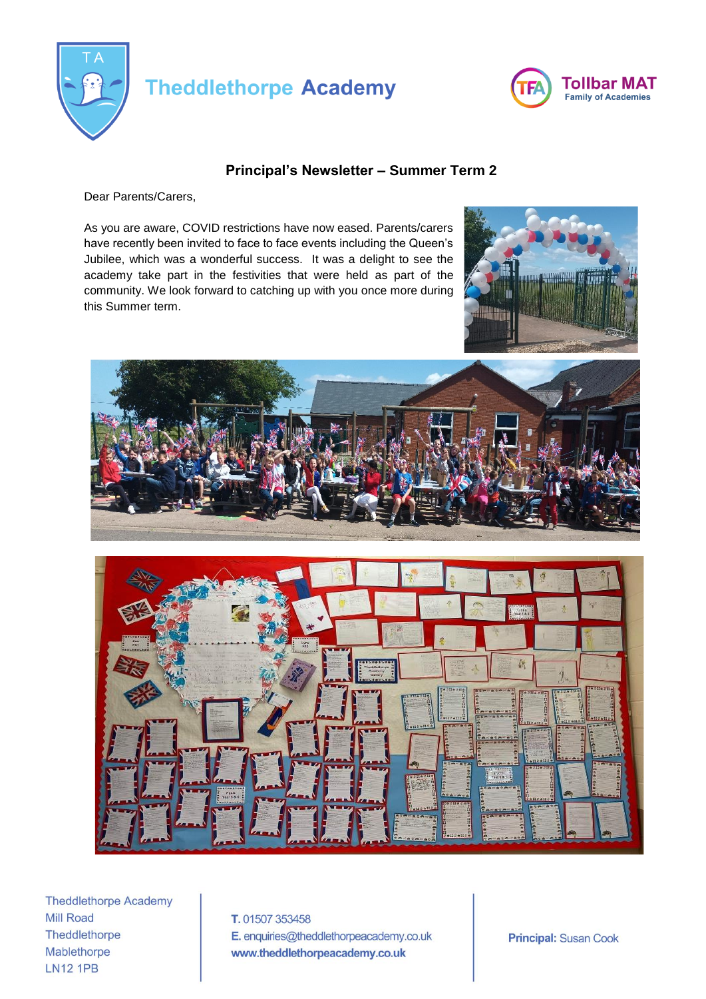

## **Theddlethorpe Academy**



## **Principal's Newsletter – Summer Term 2**

Dear Parents/Carers,

As you are aware, COVID restrictions have now eased. Parents/carers have recently been invited to face to face events including the Queen's Jubilee, which was a wonderful success. It was a delight to see the academy take part in the festivities that were held as part of the community. We look forward to catching up with you once more during this Summer term.







**Theddlethorpe Academy Mill Road** Theddlethorpe Mablethorpe **LN12 1PB** 

T. 01507 353458 E. enquiries@theddlethorpeacademy.co.uk www.theddlethorpeacademy.co.uk

**Principal: Susan Cook**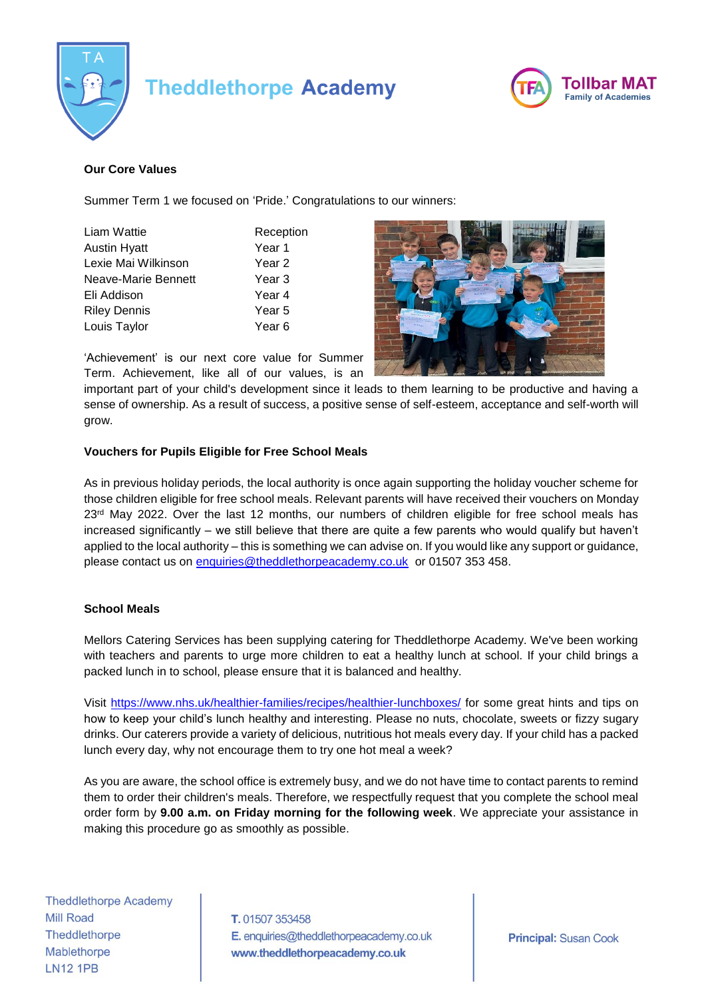

# **Theddlethorpe Academy**



## **Our Core Values**

Summer Term 1 we focused on 'Pride.' Congratulations to our winners:

| Liam Wattie         | Reception |
|---------------------|-----------|
| <b>Austin Hyatt</b> | Year 1    |
| Lexie Mai Wilkinson | Year 2    |
| Neave-Marie Bennett | Year 3    |
| Eli Addison         | Year 4    |
| <b>Riley Dennis</b> | Year 5    |
| Louis Taylor        | Year 6    |
|                     |           |



'Achievement' is our next core value for Summer Term. Achievement, like all of our values, is an

important part of your child's development since it leads to them learning to be productive and having a sense of ownership. As a result of success, a positive sense of self-esteem, acceptance and self-worth will grow.

#### **Vouchers for Pupils Eligible for Free School Meals**

As in previous holiday periods, the local authority is once again supporting the holiday voucher scheme for those children eligible for free school meals. Relevant parents will have received their vouchers on Monday 23<sup>rd</sup> May 2022. Over the last 12 months, our numbers of children eligible for free school meals has increased significantly – we still believe that there are quite a few parents who would qualify but haven't applied to the local authority – this is something we can advise on. If you would like any support or guidance, please contact us on [enquiries@theddlethorpeacademy.co.uk](mailto:enquiries@theddlethorpeacademy.co.uk) or 01507 353 458.

#### **School Meals**

Mellors Catering Services has been supplying catering for Theddlethorpe Academy. We've been working with teachers and parents to urge more children to eat a healthy lunch at school. If your child brings a packed lunch in to school, please ensure that it is balanced and healthy.

Visit<https://www.nhs.uk/healthier-families/recipes/healthier-lunchboxes/> for some great hints and tips on how to keep your child's lunch healthy and interesting. Please no nuts, chocolate, sweets or fizzy sugary drinks. Our caterers provide a variety of delicious, nutritious hot meals every day. If your child has a packed lunch every day, why not encourage them to try one hot meal a week?

As you are aware, the school office is extremely busy, and we do not have time to contact parents to remind them to order their children's meals. Therefore, we respectfully request that you complete the school meal order form by **9.00 a.m. on Friday morning for the following week**. We appreciate your assistance in making this procedure go as smoothly as possible.

**Theddlethorpe Academy Mill Road** Theddlethorpe Mablethorpe **LN12 1PB** 

T. 01507 353458 E. enquiries@theddlethorpeacademy.co.uk www.theddlethorpeacademy.co.uk

**Principal: Susan Cook**